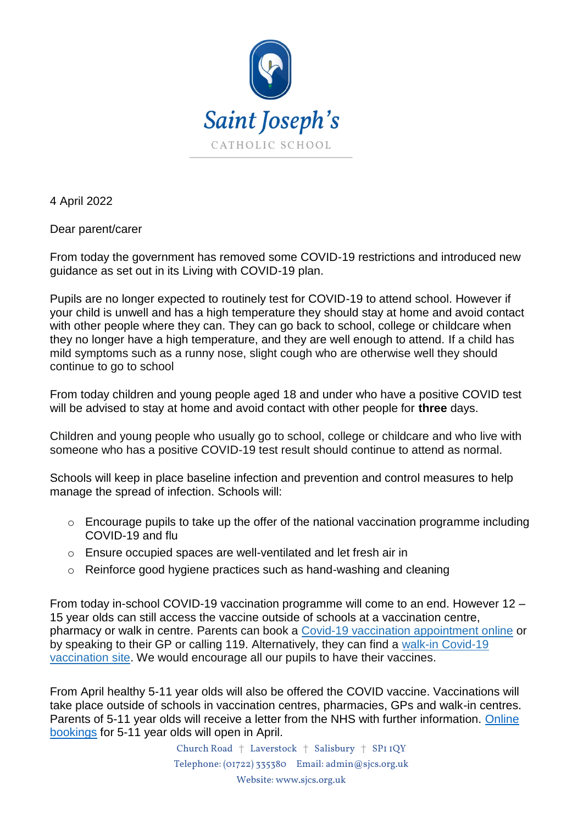

4 April 2022

Dear parent/carer

From today the government has removed some COVID-19 restrictions and introduced new guidance as set out in its Living with COVID-19 plan.

Pupils are no longer expected to routinely test for COVID-19 to attend school. However if your child is unwell and has a high temperature they should stay at home and avoid contact with other people where they can. They can go back to school, college or childcare when they no longer have a high temperature, and they are well enough to attend. If a child has mild symptoms such as a runny nose, slight cough who are otherwise well they should continue to go to school

From today children and young people aged 18 and under who have a positive COVID test will be advised to stay at home and avoid contact with other people for **three** days.

Children and young people who usually go to school, college or childcare and who live with someone who has a positive COVID-19 test result should continue to attend as normal.

Schools will keep in place baseline infection and prevention and control measures to help manage the spread of infection. Schools will:

- o Encourage pupils to take up the offer of the national vaccination programme including COVID-19 and flu
- o Ensure occupied spaces are well-ventilated and let fresh air in
- o Reinforce good hygiene practices such as hand-washing and cleaning

From today in-school COVID-19 vaccination programme will come to an end. However 12 – 15 year olds can still access the vaccine outside of schools at a vaccination centre, pharmacy or walk in centre. Parents can book a [Covid-19 vaccination appointment online](https://eur02.safelinks.protection.outlook.com/?url=https%3A%2F%2Fwww.nhs.uk%2Fconditions%2Fcoronavirus-covid-19%2Fcoronavirus-vaccination%2Fbook-coronavirus-vaccination%2F&data=04%7C01%7CHelean.Hughes%40wiltshire.gov.uk%7Caee682e8e6954c8c828f08da13cbb44a%7C5546e75e3be14813b0ff26651ea2fe19%7C0%7C0%7C637844062859888843%7CUnknown%7CTWFpbGZsb3d8eyJWIjoiMC4wLjAwMDAiLCJQIjoiV2luMzIiLCJBTiI6Ik1haWwiLCJXVCI6Mn0%3D%7C3000&sdata=OpayeHDTgOCfm7nLUy42b3hrIWOKNsdjoJYTBV6xCe0%3D&reserved=0) or by speaking to their GP or calling 119. Alternatively, they can find a [walk-in Covid-19](https://eur02.safelinks.protection.outlook.com/?url=https%3A%2F%2Fwww.nhs.uk%2Fconditions%2Fcoronavirus-covid-19%2Fcoronavirus-vaccination%2Ffind-a-walk-in-coronavirus-covid-19-vaccination-site%2F&data=04%7C01%7CHelean.Hughes%40wiltshire.gov.uk%7Caee682e8e6954c8c828f08da13cbb44a%7C5546e75e3be14813b0ff26651ea2fe19%7C0%7C0%7C637844062859888843%7CUnknown%7CTWFpbGZsb3d8eyJWIjoiMC4wLjAwMDAiLCJQIjoiV2luMzIiLCJBTiI6Ik1haWwiLCJXVCI6Mn0%3D%7C3000&sdata=JqiBf9ayNuWghrYtlLTUMFsYaWbZGVteewskjlWOXes%3D&reserved=0)  [vaccination site.](https://eur02.safelinks.protection.outlook.com/?url=https%3A%2F%2Fwww.nhs.uk%2Fconditions%2Fcoronavirus-covid-19%2Fcoronavirus-vaccination%2Ffind-a-walk-in-coronavirus-covid-19-vaccination-site%2F&data=04%7C01%7CHelean.Hughes%40wiltshire.gov.uk%7Caee682e8e6954c8c828f08da13cbb44a%7C5546e75e3be14813b0ff26651ea2fe19%7C0%7C0%7C637844062859888843%7CUnknown%7CTWFpbGZsb3d8eyJWIjoiMC4wLjAwMDAiLCJQIjoiV2luMzIiLCJBTiI6Ik1haWwiLCJXVCI6Mn0%3D%7C3000&sdata=JqiBf9ayNuWghrYtlLTUMFsYaWbZGVteewskjlWOXes%3D&reserved=0) We would encourage all our pupils to have their vaccines.

From April healthy 5-11 year olds will also be offered the COVID vaccine. Vaccinations will take place outside of schools in vaccination centres, pharmacies, GPs and walk-in centres. Parents of 5-11 year olds will receive a letter from the NHS with further information. [Online](https://eur02.safelinks.protection.outlook.com/?url=https%3A%2F%2Fwww.nhs.uk%2Fconditions%2Fcoronavirus-covid-19%2Fcoronavirus-vaccination%2Fbook-coronavirus-vaccination%2F&data=04%7C01%7CHelean.Hughes%40wiltshire.gov.uk%7Caee682e8e6954c8c828f08da13cbb44a%7C5546e75e3be14813b0ff26651ea2fe19%7C0%7C0%7C637844062859888843%7CUnknown%7CTWFpbGZsb3d8eyJWIjoiMC4wLjAwMDAiLCJQIjoiV2luMzIiLCJBTiI6Ik1haWwiLCJXVCI6Mn0%3D%7C3000&sdata=OpayeHDTgOCfm7nLUy42b3hrIWOKNsdjoJYTBV6xCe0%3D&reserved=0)  [bookings](https://eur02.safelinks.protection.outlook.com/?url=https%3A%2F%2Fwww.nhs.uk%2Fconditions%2Fcoronavirus-covid-19%2Fcoronavirus-vaccination%2Fbook-coronavirus-vaccination%2F&data=04%7C01%7CHelean.Hughes%40wiltshire.gov.uk%7Caee682e8e6954c8c828f08da13cbb44a%7C5546e75e3be14813b0ff26651ea2fe19%7C0%7C0%7C637844062859888843%7CUnknown%7CTWFpbGZsb3d8eyJWIjoiMC4wLjAwMDAiLCJQIjoiV2luMzIiLCJBTiI6Ik1haWwiLCJXVCI6Mn0%3D%7C3000&sdata=OpayeHDTgOCfm7nLUy42b3hrIWOKNsdjoJYTBV6xCe0%3D&reserved=0) for 5-11 year olds will open in April.

> Church Road † Laverstock † Salisbury † SP1 1QY Telephone: (01722) 335380 Email: admin@sjcs.org.uk Website: www.sjcs.org.uk